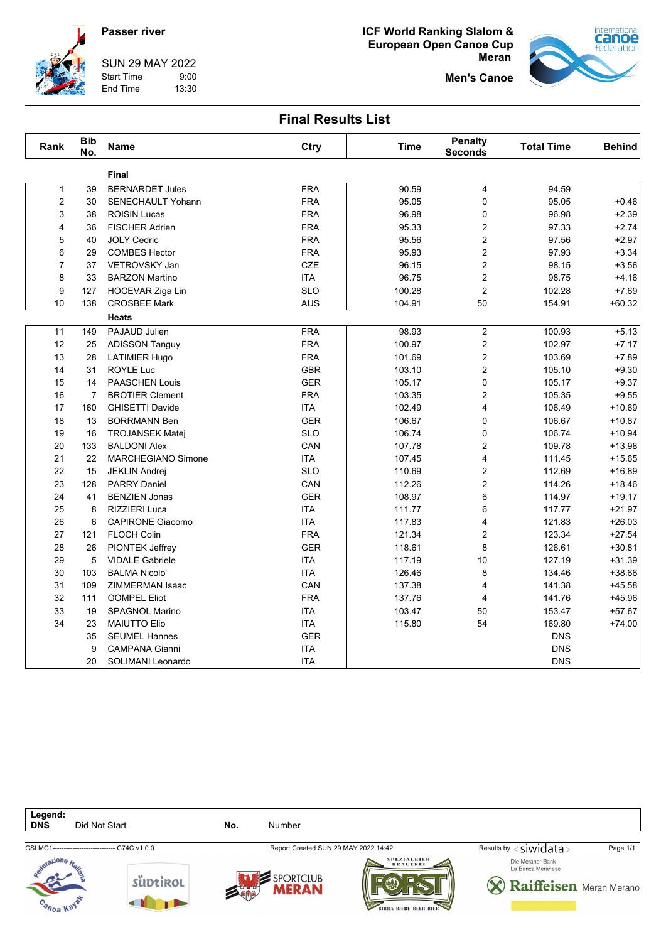## **Passer river**



SUN 29 MAY 2022 Start Time 9:00

End Time 13:30





**Men's Canoe**

### **Final Results List**

| Rank           | <b>Bib</b><br>No. | <b>Name</b>               | Ctry       | <b>Time</b> | <b>Penalty</b><br><b>Seconds</b> | <b>Total Time</b> | <b>Behind</b> |
|----------------|-------------------|---------------------------|------------|-------------|----------------------------------|-------------------|---------------|
|                |                   | <b>Final</b>              |            |             |                                  |                   |               |
| $\mathbf{1}$   | 39                | <b>BERNARDET Jules</b>    | <b>FRA</b> | 90.59       | $\overline{4}$                   | 94.59             |               |
| $\overline{2}$ | 30                | SENECHAULT Yohann         | <b>FRA</b> | 95.05       | 0                                | 95.05             | $+0.46$       |
| 3              | 38                | <b>ROISIN Lucas</b>       | <b>FRA</b> | 96.98       | 0                                | 96.98             | $+2.39$       |
| 4              | 36                | <b>FISCHER Adrien</b>     | <b>FRA</b> | 95.33       | $\overline{c}$                   | 97.33             | $+2.74$       |
| 5              | 40                | <b>JOLY Cedric</b>        | <b>FRA</b> | 95.56       | $\overline{c}$                   | 97.56             | $+2.97$       |
| 6              | 29                | <b>COMBES Hector</b>      | <b>FRA</b> | 95.93       | $\boldsymbol{2}$                 | 97.93             | $+3.34$       |
| $\overline{7}$ | 37                | <b>VETROVSKY Jan</b>      | <b>CZE</b> | 96.15       | $\overline{c}$                   | 98.15             | $+3.56$       |
| 8              | 33                | <b>BARZON Martino</b>     | <b>ITA</b> | 96.75       | $\overline{c}$                   | 98.75             | $+4.16$       |
| 9              | 127               | HOCEVAR Ziga Lin          | <b>SLO</b> | 100.28      | $\overline{c}$                   | 102.28            | $+7.69$       |
| 10             | 138               | <b>CROSBEE Mark</b>       | <b>AUS</b> | 104.91      | 50                               | 154.91            | $+60.32$      |
|                |                   | <b>Heats</b>              |            |             |                                  |                   |               |
| 11             | 149               | PAJAUD Julien             | <b>FRA</b> | 98.93       | $\overline{2}$                   | 100.93            | $+5.13$       |
| 12             | 25                | <b>ADISSON Tanguy</b>     | <b>FRA</b> | 100.97      | $\overline{c}$                   | 102.97            | $+7.17$       |
| 13             | 28                | <b>LATIMIER Hugo</b>      | <b>FRA</b> | 101.69      | 2                                | 103.69            | $+7.89$       |
| 14             | 31                | <b>ROYLE Luc</b>          | <b>GBR</b> | 103.10      | $\overline{c}$                   | 105.10            | $+9.30$       |
| 15             | 14                | <b>PAASCHEN Louis</b>     | <b>GER</b> | 105.17      | $\boldsymbol{0}$                 | 105.17            | $+9.37$       |
| 16             | $\overline{7}$    | <b>BROTIER Clement</b>    | <b>FRA</b> | 103.35      | $\overline{\mathbf{c}}$          | 105.35            | $+9.55$       |
| 17             | 160               | <b>GHISETTI Davide</b>    | <b>ITA</b> | 102.49      | $\overline{4}$                   | 106.49            | $+10.69$      |
| 18             | 13                | <b>BORRMANN Ben</b>       | <b>GER</b> | 106.67      | 0                                | 106.67            | $+10.87$      |
| 19             | 16                | <b>TROJANSEK Matej</b>    | <b>SLO</b> | 106.74      | 0                                | 106.74            | $+10.94$      |
| 20             | 133               | <b>BALDONI Alex</b>       | CAN        | 107.78      | $\overline{c}$                   | 109.78            | $+13.98$      |
| 21             | 22                | <b>MARCHEGIANO Simone</b> | <b>ITA</b> | 107.45      | 4                                | 111.45            | $+15.65$      |
| 22             | 15                | <b>JEKLIN Andrej</b>      | <b>SLO</b> | 110.69      | 2                                | 112.69            | $+16.89$      |
| 23             | 128               | <b>PARRY Daniel</b>       | CAN        | 112.26      | $\overline{c}$                   | 114.26            | $+18.46$      |
| 24             | 41                | <b>BENZIEN Jonas</b>      | <b>GER</b> | 108.97      | 6                                | 114.97            | $+19.17$      |
| 25             | 8                 | RIZZIERI Luca             | <b>ITA</b> | 111.77      | 6                                | 117.77            | $+21.97$      |
| 26             | 6                 | <b>CAPIRONE Giacomo</b>   | <b>ITA</b> | 117.83      | $\overline{\mathbf{4}}$          | 121.83            | $+26.03$      |
| 27             | 121               | <b>FLOCH Colin</b>        | <b>FRA</b> | 121.34      | $\overline{c}$                   | 123.34            | $+27.54$      |
| 28             | 26                | PIONTEK Jeffrey           | <b>GER</b> | 118.61      | 8                                | 126.61            | $+30.81$      |
| 29             | 5                 | <b>VIDALE Gabriele</b>    | ITA        | 117.19      | 10                               | 127.19            | $+31.39$      |
| 30             | 103               | <b>BALMA Nicolo'</b>      | <b>ITA</b> | 126.46      | 8                                | 134.46            | $+38.66$      |
| 31             | 109               | ZIMMERMAN Isaac           | CAN        | 137.38      | 4                                | 141.38            | $+45.58$      |
| 32             | 111               | <b>GOMPEL Eliot</b>       | <b>FRA</b> | 137.76      | 4                                | 141.76            | $+45.96$      |
| 33             | 19                | <b>SPAGNOL Marino</b>     | <b>ITA</b> | 103.47      | 50                               | 153.47            | $+57.67$      |
| 34             | 23                | <b>MAIUTTO Elio</b>       | <b>ITA</b> | 115.80      | 54                               | 169.80            | $+74.00$      |
|                | 35                | <b>SEUMEL Hannes</b>      | <b>GER</b> |             |                                  | <b>DNS</b>        |               |
|                | 9                 | <b>CAMPANA Gianni</b>     | <b>ITA</b> |             |                                  | <b>DNS</b>        |               |
|                | 20                | SOLIMANI Leonardo         | <b>ITA</b> |             |                                  | <b>DNS</b>        |               |

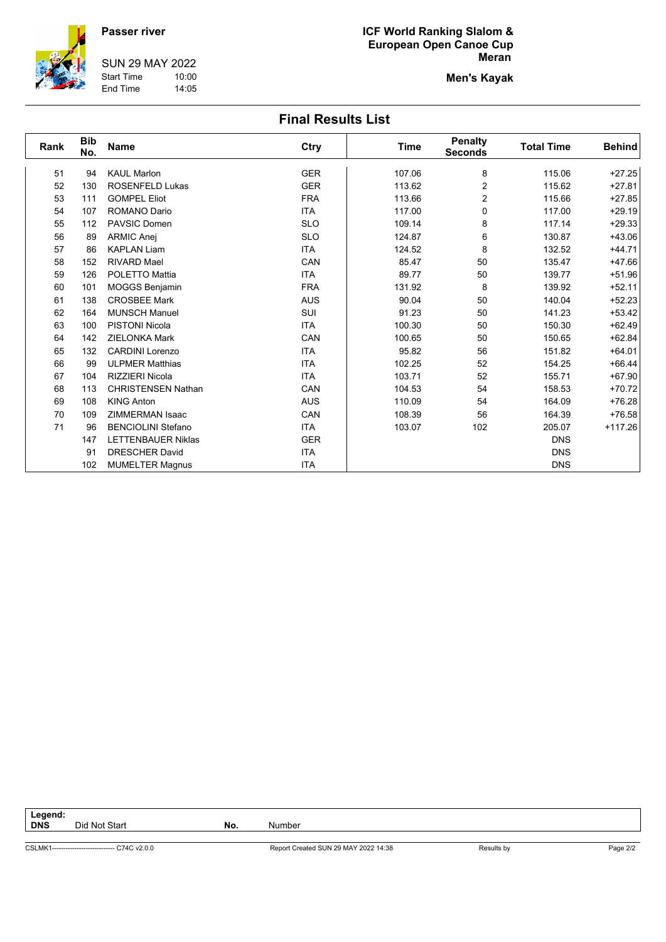#### **Passer river**

**SUN 29 MAY 2022** 10:00 **Start Time** End Time 14:05

#### ICF World Ranking Slalom & European Open Canoe Cup **Meran**

**Men's Kayak** 

# **Final Results List**

| Rank | <b>Bib</b><br>No. | <b>Name</b>               | Ctry       | Time   | <b>Penalty</b><br><b>Seconds</b> | <b>Total Time</b> | <b>Behind</b> |
|------|-------------------|---------------------------|------------|--------|----------------------------------|-------------------|---------------|
| 51   | 94                | <b>KAUL Marlon</b>        | <b>GER</b> | 107.06 | 8                                | 115.06            | $+27.25$      |
| 52   | 130               | <b>ROSENFELD Lukas</b>    | <b>GER</b> | 113.62 | $\overline{c}$                   | 115.62            | $+27.81$      |
| 53   | 111               | <b>GOMPEL Eliot</b>       | <b>FRA</b> | 113.66 | 2                                | 115.66            | $+27.85$      |
| 54   | 107               | <b>ROMANO Dario</b>       | <b>ITA</b> | 117.00 | 0                                | 117.00            | $+29.19$      |
| 55   | 112               | <b>PAVSIC Domen</b>       | <b>SLO</b> | 109.14 | 8                                | 117.14            | $+29.33$      |
| 56   | 89                | <b>ARMIC Anej</b>         | <b>SLO</b> | 124.87 | 6                                | 130.87            | $+43.06$      |
| 57   | 86                | <b>KAPLAN Liam</b>        | <b>ITA</b> | 124.52 | 8                                | 132.52            | $+44.71$      |
| 58   | 152               | <b>RIVARD Mael</b>        | CAN        | 85.47  | 50                               | 135.47            | $+47.66$      |
| 59   | 126               | POLETTO Mattia            | <b>ITA</b> | 89.77  | 50                               | 139.77            | $+51.96$      |
| 60   | 101               | <b>MOGGS Benjamin</b>     | <b>FRA</b> | 131.92 | 8                                | 139.92            | $+52.11$      |
| 61   | 138               | <b>CROSBEE Mark</b>       | <b>AUS</b> | 90.04  | 50                               | 140.04            | $+52.23$      |
| 62   | 164               | <b>MUNSCH Manuel</b>      | <b>SUI</b> | 91.23  | 50                               | 141.23            | $+53.42$      |
| 63   | 100               | <b>PISTONI Nicola</b>     | <b>ITA</b> | 100.30 | 50                               | 150.30            | $+62.49$      |
| 64   | 142               | <b>ZIELONKA Mark</b>      | CAN        | 100.65 | 50                               | 150.65            | $+62.84$      |
| 65   | 132               | <b>CARDINI Lorenzo</b>    | <b>ITA</b> | 95.82  | 56                               | 151.82            | $+64.01$      |
| 66   | 99                | <b>ULPMER Matthias</b>    | <b>ITA</b> | 102.25 | 52                               | 154.25            | $+66.44$      |
| 67   | 104               | <b>RIZZIERI Nicola</b>    | <b>ITA</b> | 103.71 | 52                               | 155.71            | $+67.90$      |
| 68   | 113               | <b>CHRISTENSEN Nathan</b> | CAN        | 104.53 | 54                               | 158.53            | $+70.72$      |
| 69   | 108               | <b>KING Anton</b>         | <b>AUS</b> | 110.09 | 54                               | 164.09            | $+76.28$      |
| 70   | 109               | <b>ZIMMERMAN Isaac</b>    | CAN        | 108.39 | 56                               | 164.39            | $+76.58$      |
| 71   | 96                | <b>BENCIOLINI Stefano</b> | <b>ITA</b> | 103.07 | 102                              | 205.07            | $+117.26$     |
|      | 147               | <b>LETTENBAUER Niklas</b> | <b>GER</b> |        |                                  | <b>DNS</b>        |               |
|      | 91                | <b>DRESCHER David</b>     | <b>ITA</b> |        |                                  | <b>DNS</b>        |               |
|      | 102               | <b>MUMELTER Magnus</b>    | <b>ITA</b> |        |                                  | <b>DNS</b>        |               |

Legend:<br>DNS Did Not Start

No.

Report Created SUN 29 MAY 2022 14:38

Number